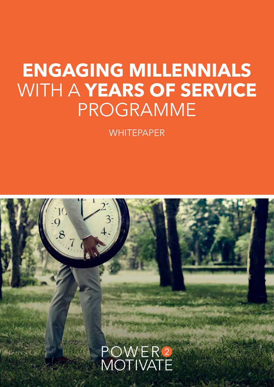## **ENGAGING MILLENNIALS** WITH A **YEARS OF SERVICE** PROGRAMME

**WHITEPAPER** 

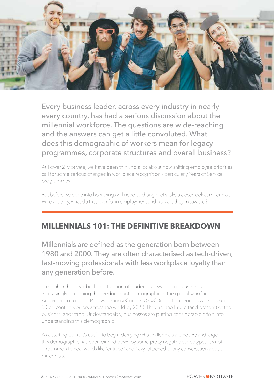

Every business leader, across every industry in nearly every country, has had a serious discussion about the millennial workforce. The questions are wide-reaching and the answers can get a little convoluted. What does this demographic of workers mean for legacy programmes, corporate structures and overall business?

At Power 2 Motivate, we have been thinking a lot about how shifting employee priorities call for some serious changes in workplace recognition - particularly Years of Service programmes.

But before we delve into how things will need to change, let's take a closer look at millennials. Who are they, what do they look for in employment and how are they motivated?

#### **MILLENNIALS 101: THE DEFINITIVE BREAKDOWN**

Millennials are defined as the generation born between 1980 and 2000. They are often characterised as tech-driven, fast-moving professionals with less workplace loyalty than any generation before.

This cohort has grabbed the attention of leaders everywhere because they are increasingly becoming the predominant demographic in the global workforce. According to a recent PricewaterhouseCoopers (PwC )report, millennials will make up 50 percent of workers across the world by 2020. They are the future (and present) of the business landscape. Understandably, businesses are putting considerable effort into understanding this demographic.

As a starting point, it's useful to begin clarifying what millennials are not. By and large, this demographic has been pinned down by some pretty negative stereotypes. It's not uncommon to hear words like "entitled" and "lazy" attached to any conversation about millennials.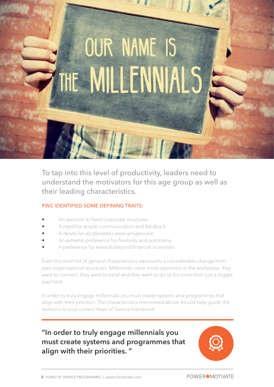# **OUR NAME IS** THE MILLENNIA

To tap into this level of productivity, leaders need to understand the motivators for this age group as well as their leading characteristics.

#### PWC IDENTIFIED SOME DEFINING TRAITS:

- An aversion to fixed corporate structures
- A need for ample communication and feedback
- A desire for accelerated career progression
- An extreme preference for flexibility and autonomy
- A preference for rewards beyond financial incentives

Even this short list of general characteristics represents a considerable change from past organisational structures. Millennials crave more openness in the workplace, they want to connect, they want to excel and they want to do so for more than just a bigger paycheck.

In order to truly engage millennials you must create systems and programmes that align with their priorities. The characteristics mentioned above should help guide the revisions to your current Years of Service framework.

### **"In order to truly engage millennials you must create systems and programmes that align with their priorities. "**

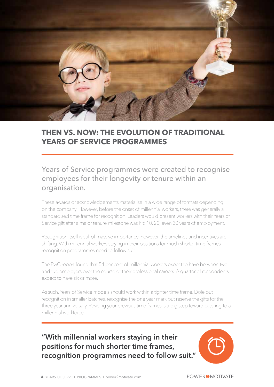

#### **THEN VS. NOW: THE EVOLUTION OF TRADITIONAL YEARS OF SERVICE PROGRAMMES**

#### Years of Service programmes were created to recognise employees for their longevity or tenure within an organisation.

These awards or acknowledgements materialise in a wide range of formats depending on the company. However, before the onset of millennial workers, there was generally a standardised time frame for recognition. Leaders would present workers with their Years of Service gift after a major tenure milestone was hit: 10, 20, even 30 years of employment.

Recognition itself is still of massive importance, however, the timelines and incentives are shifting. With millennial workers staying in their positions for much shorter time frames, recognition programmes need to follow suit.

The PwC report found that 54 per cent of millennial workers expect to have between two and five employers over the course of their professional careers. A quarter of respondents expect to have six or more.

As such, Years of Service models should work within a tighter time frame. Dole out recognition in smaller batches, recognise the one year mark but reserve the gifts for the three year anniversary. Revising your previous time frames is a big step toward catering to a millennial workforce.

**"With millennial workers staying in their positions for much shorter time frames, recognition programmes need to follow suit."**

**POWER @MOTIVATE**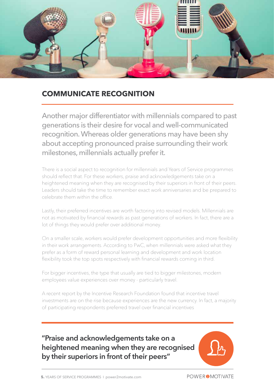

#### **COMMUNICATE RECOGNITION**

Another major differentiator with millennials compared to past generations is their desire for vocal and well-communicated recognition. Whereas older generations may have been shy about accepting pronounced praise surrounding their work milestones, millennials actually prefer it.

There is a social aspect to recognition for millennials and Years of Service programmes should reflect that. For these workers, praise and acknowledgements take on a heightened meaning when they are recognised by their superiors in front of their peers. Leaders should take the time to remember exact work anniversaries and be prepared to celebrate them within the office.

Lastly, their preferred incentives are worth factoring into revised models. Millennials are not as motivated by financial rewards as past generations of workers. In fact, there are a lot of things they would prefer over additional money.

On a smaller scale, workers would prefer development opportunities and more flexibility in their work arrangements. According to PwC, when millennials were asked what they prefer as a form of reward personal learning and development and work location flexibility took the top spots respectively with financial rewards coming in third.

For bigger incentives, the type that usually are tied to bigger milestones, modern employees value experiences over money - particularly travel.

A recent report by the Incentive Research Foundation found that incentive travel investments are on the rise because experiences are the new currency. In fact, a majority of participating respondents preferred travel over financial incentives

**"Praise and acknowledgements take on a heightened meaning when they are recognised by their superiors in front of their peers"**